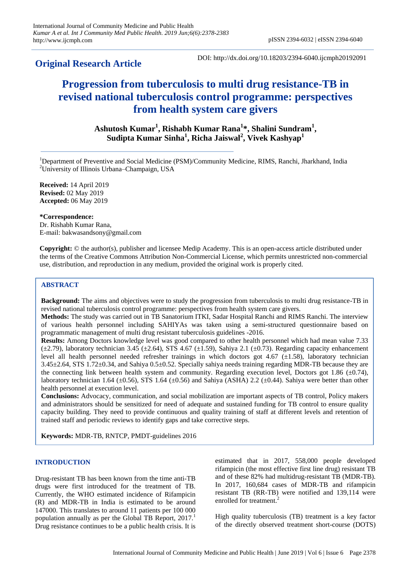# **Original Research Article**

DOI: http://dx.doi.org/10.18203/2394-6040.ijcmph20192091

# **Progression from tuberculosis to multi drug resistance-TB in revised national tuberculosis control programme: perspectives from health system care givers**

**Ashutosh Kumar<sup>1</sup> , Rishabh Kumar Rana<sup>1</sup> \*, Shalini Sundram<sup>1</sup> , Sudipta Kumar Sinha<sup>1</sup> , Richa Jaiswal<sup>2</sup> , Vivek Kashyap<sup>1</sup>**

<sup>1</sup>Department of Preventive and Social Medicine (PSM)/Community Medicine, RIMS, Ranchi, Jharkhand, India <sup>2</sup>University of Illinois Urbana–Champaign, USA

**Received:** 14 April 2019 **Revised:** 02 May 2019 **Accepted:** 06 May 2019

**\*Correspondence:** Dr. Rishabh Kumar Rana, E-mail: bakwasandsony@gmail.com

**Copyright:** © the author(s), publisher and licensee Medip Academy. This is an open-access article distributed under the terms of the Creative Commons Attribution Non-Commercial License, which permits unrestricted non-commercial use, distribution, and reproduction in any medium, provided the original work is properly cited.

# **ABSTRACT**

**Background:** The aims and objectives were to study the progression from tuberculosis to multi drug resistance-TB in revised national tuberculosis control programme: perspectives from health system care givers.

**Methods:** The study was carried out in TB Sanatorium ITKI, Sadar Hospital Ranchi and RIMS Ranchi. The interview of various health personnel including SAHIYAs was taken using a semi-structured questionnaire based on programmatic management of multi drug resistant tuberculosis guidelines -2016.

**Results:** Among Doctors knowledge level was good compared to other health personnel which had mean value 7.33  $(\pm 2.79)$ , laboratory technician 3.45  $(\pm 2.64)$ , STS 4.67  $(\pm 1.59)$ , Sahiya 2.1  $(\pm 0.73)$ . Regarding capacity enhancement level all health personnel needed refresher trainings in which doctors got 4.67 ( $\pm$ 1.58), laboratory technician 3.45±2.64, STS 1.72±0.34, and Sahiya 0.5±0.52. Specially sahiya needs training regarding MDR-TB because they are the connecting link between health system and community. Regarding execution level, Doctors got 1.86 ( $\pm$ 0.74), laboratory technician 1.64 (±0.56), STS 1.64 (±0.56) and Sahiya (ASHA) 2.2 (±0.44). Sahiya were better than other health personnel at execution level.

**Conclusions:** Advocacy, communication, and social mobilization are important aspects of TB control, Policy makers and administrators should be sensitized for need of adequate and sustained funding for TB control to ensure quality capacity building. They need to provide continuous and quality training of staff at different levels and retention of trained staff and periodic reviews to identify gaps and take corrective steps.

**Keywords:** MDR-TB, RNTCP, PMDT-guidelines 2016

# **INTRODUCTION**

Drug-resistant TB has been known from the time anti-TB drugs were first introduced for the treatment of TB. Currently, the WHO estimated incidence of Rifampicin (R) and MDR-TB in India is estimated to be around 147000. This translates to around 11 patients per 100 000 population annually as per the Global TB Report,  $2017<sup>1</sup>$ Drug resistance continues to be a public health crisis. It is estimated that in 2017, 558,000 people developed rifampicin (the most effective first line drug) resistant TB and of these 82% had multidrug-resistant TB (MDR-TB). In 2017, 160,684 cases of MDR-TB and rifampicin resistant TB (RR-TB) were notified and 139,114 were enrolled for treatment.<sup>2</sup>

High quality tuberculosis (TB) treatment is a key factor of the directly observed treatment short-course (DOTS)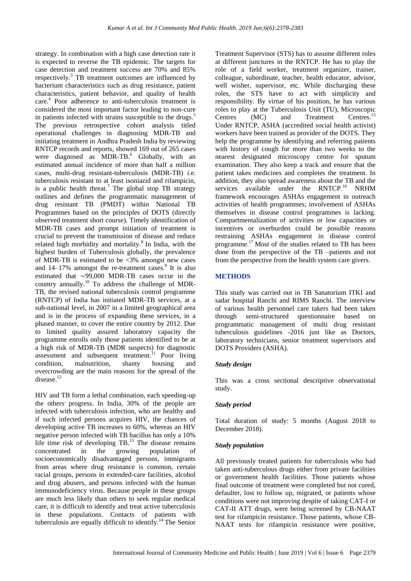strategy. In combination with a high case detection rate it is expected to reverse the TB epidemic. The targets for case detection and treatment success are 70% and 85% respectively.<sup>3</sup> TB treatment outcomes are influenced by bacterium characteristics such as drug resistance, patient characteristics, patient behavior, and quality of health care. 4 Poor adherence to anti-tuberculosis treatment is considered the most important factor leading to non-cure in patients infected with strains susceptible to the drugs.<sup>5</sup> The previous retrospective cohort analysis titled operational challenges in diagnosing MDR-TB and initiating treatment in Andhra Pradesh India by reviewing RNTCP records and reports, showed 169 out of 265 cases were diagnosed as MDR-TB. $^{6}$  Globally, with an estimated annual incidence of more than half a million cases, multi-drug resistant-tuberculosis (MDR-TB) i.e. tuberculosis resistant to at least isoniazid and rifampicin, is a public health threat.<sup>7</sup> The global stop TB strategy outlines and defines the programmatic management of drug resistant TB (PMDT) within National TB Programmes based on the principles of DOTS (directly observed treatment short course). Timely identification of MDR-TB cases and prompt initiation of treatment is crucial to prevent the transmission of disease and reduce related high morbidity and mortality. $8$  In India, with the highest burden of Tuberculosis globally, the prevalence of MDR-TB is estimated to be  $\leq 3\%$  amongst new cases and  $14-17\%$  amongst the re-treatment cases.<sup>9</sup> It is also estimated that ∼99,000 MDR-TB cases occur in the country annually.<sup>10</sup> To address the challenge of MDR-TB, the revised national tuberculosis control programme (RNTCP) of India has initiated MDR-TB services, at a sub-national level, in 2007 in a limited geographical area and is in the process of expanding these services, in a phased manner, to cover the entire country by 2012. Due to limited quality assured laboratory capacity the programme enrolls only those patients identified to be at a high risk of MDR-TB (MDR suspects) for diagnostic assessment and subsequent treatment.<sup>11</sup> Poor living condition, malnutrition, shanty housing and overcrowding are the main reasons for the spread of the disease.<sup>12</sup>

HIV and TB form a lethal combination, each speeding-up the others' progress. In India, 30% of the people are infected with tuberculosis infection, who are healthy and if such infected persons acquires HIV, the chances of developing active TB increases to 60%, whereas an HIV negative person infected with TB bacillus has only a 10% life time risk of developing  $TB<sup>13</sup>$ . The disease remains concentrated in the growing population of socioeconomically disadvantaged persons, immigrants from areas where drug resistance is common, certain racial groups, persons in extended-care facilities, alcohol and drug abusers, and persons infected with the human immunodeficiency virus. Because people in these groups are much less likely than others to seek regular medical care, it is difficult to identify and treat active tuberculosis in these populations. Contacts of patients with tuberculosis are equally difficult to identify.<sup>14</sup> The Senior Treatment Supervisor (STS) has to assume different roles at different junctures in the RNTCP. He has to play the role of a field worker, treatment organizer, trainer, colleague, subordinate, teacher, health educator, advisor, well wisher, supervisor, etc. While discharging these roles, the STS have to act with simplicity and responsibility. By virtue of his position, he has various roles to play at the Tuberculosis Unit (TU), Microscopic Centres (MC) and Treatment Centres.<sup>15</sup> Under RNTCP, ASHA (accredited social health activist) workers have been trained as provider of the DOTS. They help the programme by identifying and referring patients with history of cough for more than two weeks to the nearest designated microscopy centre for sputum examination. They also keep a track and ensure that the patient takes medicines and completes the treatment. In addition, they also spread awareness about the TB and the services available under the RNTCP.<sup>16</sup> NRHM framework encourages ASHAs engagement in outreach activities of health programmes; involvement of ASHAs themselves in disease control programmes is lacking. Compartmentalization of activities or low capacities or incentives or overburden could be possible reasons restraining ASHAs engagement in disease control programme.<sup>17</sup> Most of the studies related to TB has been done from the perspective of the TB –patients and not from the perspective from the health system care givers.

# **METHODS**

This study was carried out in TB Sanatorium ITKI and sadar hospital Ranchi and RIMS Ranchi. The interview of various health personnel care takers had been taken through semi-structured questionnaire based on programmatic management of multi drug resistant tuberculosis guidelines -2016 just like as Doctors, laboratory technicians, senior treatment supervisors and DOTS Providers (ASHA).

#### *Study design*

This was a cross sectional descriptive observational study.

#### *Study period*

Total duration of study: 5 months (August 2018 to December 2018).

#### *Study population*

All previously treated patients for tuberculosis who had taken anti-tuberculous drugs either from private facilities or government health facilities. Those patients whose final outcome of treatment were completed but not cured, defaulter, lost to follow up, migrated, or patients whose conditions were not improving despite of taking CAT-I or CAT-II ATT drugs, were being screened by CB-NAAT test for rifampicin resistance. Those patients, whose CB-NAAT tests for rifampicin resistance were positive,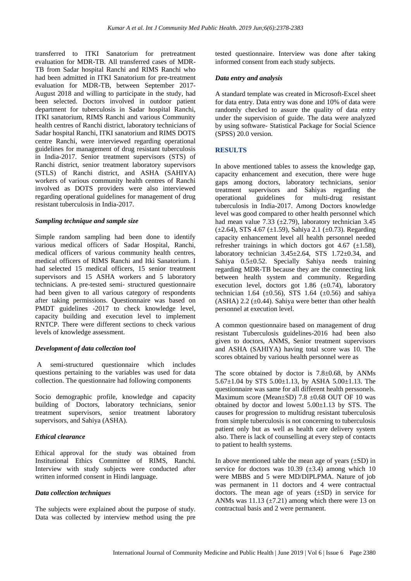transferred to ITKI Sanatorium for pretreatment evaluation for MDR-TB. All transferred cases of MDR-TB from Sadar hospital Ranchi and RIMS Ranchi who had been admitted in ITKI Sanatorium for pre-treatment evaluation for MDR-TB, between September 2017- August 2018 and willing to participate in the study, had been selected. Doctors involved in outdoor patient department for tuberculosis in Sadar hospital Ranchi, ITKI sanatorium, RIMS Ranchi and various Community health centres of Ranchi district, laboratory technicians of Sadar hospital Ranchi, ITKI sanatorium and RIMS DOTS centre Ranchi, were interviewed regarding operational guidelines for management of drug resistant tuberculosis in India-2017. Senior treatment supervisors (STS) of Ranchi district, senior treatment laboratory supervisors (STLS) of Ranchi district, and ASHA (SAHIYA) workers of various community health centres of Ranchi involved as DOTS providers were also interviewed regarding operational guidelines for management of drug resistant tuberculosis in India-2017.

#### *Sampling technique and sample size*

Simple random sampling had been done to identify various medical officers of Sadar Hospital, Ranchi, medical officers of various community health centres, medical officers of RIMS Ranchi and Itki Sanatorium. I had selected 15 medical officers, 15 senior treatment supervisors and 15 ASHA workers and 5 laboratory technicians. A pre-tested semi- structured questionnaire had been given to all various category of respondents after taking permissions. Questionnaire was based on PMDT guidelines -2017 to check knowledge level, capacity building and execution level to implement RNTCP. There were different sections to check various levels of knowledge assessment.

#### *Development of data collection tool*

A semi-structured questionnaire which includes questions pertaining to the variables was used for data collection. The questionnaire had following components

Socio demographic profile, knowledge and capacity building of Doctors, laboratory technicians, senior treatment supervisors, senior treatment laboratory supervisors, and Sahiya (ASHA).

#### *Ethical clearance*

Ethical approval for the study was obtained from Institutional Ethics Committee of RIMS, Ranchi. Interview with study subjects were conducted after written informed consent in Hindi language.

#### *Data collection techniques*

The subjects were explained about the purpose of study. Data was collected by interview method using the pre tested questionnaire. Interview was done after taking informed consent from each study subjects.

#### *Data entry and analysis*

A standard template was created in Microsoft-Excel sheet for data entry. Data entry was done and 10% of data were randomly checked to assure the quality of data entry under the supervision of guide. The data were analyzed by using software- Statistical Package for Social Science (SPSS) 20.0 version.

#### **RESULTS**

In above mentioned tables to assess the knowledge gap, capacity enhancement and execution, there were huge gaps among doctors, laboratory technicians, senior treatment supervisors and Sahiyas regarding the<br>operational guidelines for multi-drug resistant operational guidelines for multi-drug tuberculosis in India-2017. Among Doctors knowledge level was good compared to other health personnel which had mean value 7.33 ( $\pm$ 2.79), laboratory technician 3.45  $(\pm 2.64)$ , STS 4.67 ( $\pm 1.59$ ), Sahiya 2.1 ( $\pm 0.73$ ). Regarding capacity enhancement level all health personnel needed refresher trainings in which doctors got 4.67  $(\pm 1.58)$ , laboratory technician  $3.45\pm2.64$ , STS  $1.72\pm0.34$ , and Sahiya 0.5±0.52. Specially Sahiya needs training regarding MDR-TB because they are the connecting link between health system and community. Regarding execution level, doctors got 1.86  $(\pm 0.74)$ , laboratory technician 1.64 ( $\pm$ 0.56), STS 1.64 ( $\pm$ 0.56) and sahiya (ASHA) 2.2  $(\pm 0.44)$ . Sahiya were better than other health personnel at execution level.

A common questionnaire based on management of drug resistant Tuberculosis guidelines-2016 had been also given to doctors, ANMS, Senior treatment supervisors and ASHA (SAHIYA) having total score was 10. The scores obtained by various health personnel were as

The score obtained by doctor is 7.8±0.68, by ANMs 5.67±1.04 by STS 5.00±1.13, by ASHA 5.00±1.13. The questionnaire was same for all different health perssonels. Maximum score (Mean±SD) 7.8 ±0.68 OUT OF 10 was obtained by doctor and lowest 5.00±1.13 by STS. The causes for progression to multidrug resistant tuberculosis from simple tuberculosis is not concerning to tuberculosis patient only but as well as health care delivery system also. There is lack of counselling at every step of contacts to patient to health systems.

In above mentioned table the mean age of years  $(\pm SD)$  in service for doctors was  $10.39 \ (\pm 3.4)$  among which 10 were MBBS and 5 were MD/DIPLPMA. Nature of job was permanent in 11 doctors and 4 were contractual doctors. The mean age of years (±SD) in service for ANMs was  $11.13 \ (\pm 7.21)$  among which there were 13 on contractual basis and 2 were permanent.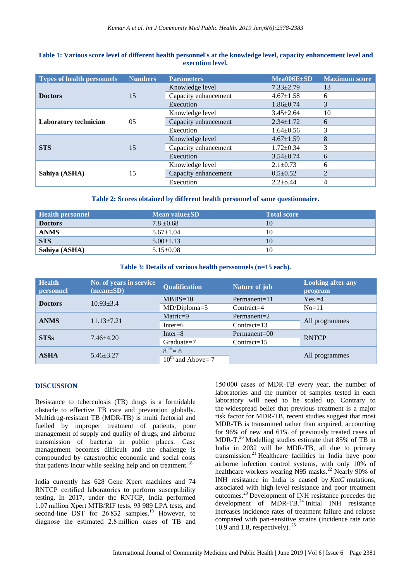| <b>Types of health personnels</b> | <b>Numbers</b> | <b>Parameters</b>    | $Mea006E\pm SD$ | <b>Maximum</b> score |
|-----------------------------------|----------------|----------------------|-----------------|----------------------|
| <b>Doctors</b>                    | 15             | Knowledge level      | $7.33 \pm 2.79$ | 13                   |
|                                   |                | Capacity enhancement | $4.67 \pm 1.58$ | 6                    |
|                                   |                | Execution            | $1.86 \pm 0.74$ | 3                    |
| <b>Laboratory technician</b>      | 0 <sub>5</sub> | Knowledge level      | $3.45 \pm 2.64$ | 10                   |
|                                   |                | Capacity enhancement | $2.34 \pm 1.72$ | 6                    |
|                                   |                | Execution            | $1.64 \pm 0.56$ | 3                    |
| <b>STS</b>                        | 15             | Knowledge level      | $4.67 \pm 1.59$ | 8                    |
|                                   |                | Capacity enhancement | $1.72 \pm 0.34$ | 3                    |
|                                   |                | Execution            | $3.54 \pm 0.74$ | 6                    |
| Sahiya (ASHA)                     | 15             | Knowledge level      | $2.1 \pm 0.73$  | 6                    |
|                                   |                | Capacity enhancement | $0.5 \pm 0.52$  | 2                    |
|                                   |                | Execution            | $2.2 + 0.44$    | 4                    |

### **Table 1: Various score level of different health personnel's at the knowledge level, capacity enhancement level and execution level.**

**Table 2: Scores obtained by different health personnel of same questionnaire.**

| <b>Health personnel</b> | Mean value $\pm$ SD | <b>Total score</b> |
|-------------------------|---------------------|--------------------|
| <b>Doctors</b>          | $7.8 \pm 0.68$      | 10                 |
| <b>ANMS</b>             | $5.67 \pm 1.04$     | 10                 |
| <b>STS</b>              | $5.00 \pm 1.13$     |                    |
| Sahiya (ASHA)           | $5.15 \pm 0.98$     | 10                 |

#### **Table 3: Details of various health perssonnels (n=15 each).**

| <b>Health</b><br>personnel | No. of years in service<br>$(\text{mean} \pm \text{SD})$ | <b>Qualification</b>                | <b>Nature of job</b> | <b>Looking after any</b><br>program |  |
|----------------------------|----------------------------------------------------------|-------------------------------------|----------------------|-------------------------------------|--|
| <b>Doctors</b>             | $10.93 \pm 3.4$                                          | $MBBS=10$                           | Permanent= $11$      | $Yes = 4$                           |  |
|                            |                                                          | MD/Diploma=5                        | $Contract = 4$       | $No=11$                             |  |
| <b>ANMS</b>                | $11.13 \pm 7.21$                                         | $\text{Matric}=9$                   | $Permanent = 2$      | All programmes                      |  |
|                            |                                                          | Inter $=6$                          | $Contract=13$        |                                     |  |
| <b>STSs</b>                | $7.46 + 4.20$                                            | $Inter = 8$                         | $Permanent = 00$     | <b>RNTCP</b>                        |  |
|                            |                                                          | $Graduate = 7$                      | $Contract=15$        |                                     |  |
| <b>ASHA</b>                | $5.46 + 3.27$                                            | $8^{TH} = 8$                        |                      |                                     |  |
|                            |                                                          | $10^{\text{th}}$<br>and Above $= 7$ |                      | All programmes                      |  |

#### **DISCUSSION**

Resistance to tuberculosis (TB) drugs is a formidable obstacle to effective TB care and prevention globally. Multidrug-resistant TB (MDR-TB) is multi factorial and fuelled by improper treatment of patients, poor management of supply and quality of drugs, and airborne transmission of bacteria in public places. Case management becomes difficult and the challenge is compounded by catastrophic economic and social costs that patients incur while seeking help and on treatment.<sup>18</sup>

India currently has 628 Gene Xpert machines and 74 RNTCP certified laboratories to perform susceptibility testing. In 2017, under the RNTCP, India performed 1.07 million Xpert MTB/RIF tests, 93 989 LPA tests, and second-line DST for 26 832 samples.<sup>19</sup> However, to diagnose the estimated 2.8 million cases of TB and 150 000 cases of MDR-TB every year, the number of laboratories and the number of samples tested in each laboratory will need to be scaled up. Contrary to the widespread belief that previous treatment is a major risk factor for MDR-TB, recent studies suggest that most MDR-TB is transmitted rather than acquired, accounting for 96% of new and 61% of previously treated cases of MDR-T. $^{20}$  Modelling studies estimate that 85% of TB in India in 2032 will be MDR-TB, all due to primary transmission. <sup>21</sup> Healthcare facilities in India have poor airborne infection control systems, with only 10% of healthcare workers wearing N95 masks.<sup>22</sup> Nearly 90% of INH resistance in India is caused by *KatG* mutations, associated with high-level resistance and poor treatment outcomes.<sup>23</sup>Development of INH resistance precedes the development of MDR-TB.<sup>24</sup> Initial INH resistance increases incidence rates of treatment failure and relapse compared with pan-sensitive strains (incidence rate ratio 10.9 and 1.8, respectively).  $^{25}$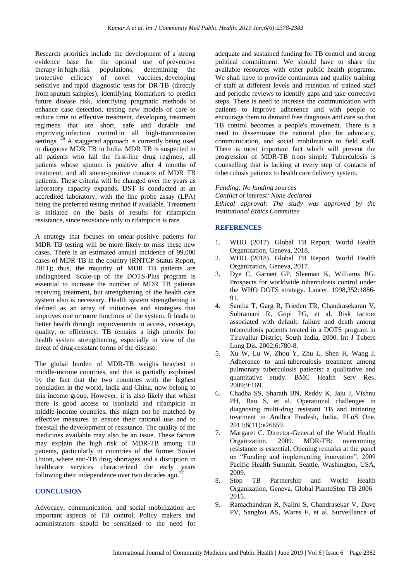Research priorities include the development of a strong evidence base for the optimal use of preventive therapy in high-risk populations, determining the protective efficacy of novel vaccines, developing sensitive and rapid diagnostic tests for DR-TB (directly from sputum samples), identifying biomarkers to predict future disease risk, identifying pragmatic methods to enhance case detection, testing new models of care to reduce time to effective treatment, developing treatment regimens that are short, safe and durable and improving infection control in all high-transmission settings.  $^{26}$  A staggered approach is currently being used to diagnose MDR TB in India. MDR TB is suspected in all patients who fail the first-line drug regimen, all patients whose sputum is positive after 4 months of treatment, and all smear-positive contacts of MDR TB patients. These criteria will be changed over the years as laboratory capacity expands. DST is conducted at an accredited laboratory, with the line probe assay (LPA) being the preferred testing method if available. Treatment is initiated on the basis of results for rifampicin resistance, since resistance only to rifampicin is rare.

A strategy that focuses on smear-positive patients for MDR TB testing will be more likely to miss these new cases. There is an estimated annual incidence of 99,000 cases of MDR TB in the country (RNTCP Status Report, 2011); thus, the majority of MDR TB patients are undiagnosed. Scale-up of the DOTS-Plus program is essential to increase the number of MDR TB patients receiving treatment, but strengthening of the health care system also is necessary. Health system strengthening is defined as an array of initiatives and strategies that improves one or more functions of the system. It leads to better health through improvements in access, coverage, quality, or efficiency. TB remains a high priority for health system strengthening, especially in view of the threat of drug-resistant forms of the disease.

The global burden of MDR-TB weighs heaviest in middle-income countries, and this is partially explained by the fact that the two countries with the highest population in the world, India and China, now belong to this income group. However, it is also likely that whilst there is good access to isoniazid and rifampicin in middle-income countries, this might not be matched by effective measures to ensure their rational use and to forestall the development of resistance. The quality of the medicines available may also be an issue. These factors may explain the high risk of MDR-TB among TB patients, particularly in countries of the former Soviet Union, where anti-TB drug shortages and a disruption in healthcare services characterized the early years following their independence over two decades ago.<sup>27</sup>

# **CONCLUSION**

Advocacy, communication, and social mobilization are important aspects of TB control, Policy makers and administrators should be sensitized to the need for adequate and sustained funding for TB control and strong political commitment. We should have to share the available resources with other public health programs. We shall have to provide continuous and quality training of staff at different levels and retention of trained staff and periodic reviews to identify gaps and take corrective steps. There is need to increase the communication with patients to improve adherence and with people to encourage them to demand free diagnosis and care so that TB control becomes a people's movement. There is a need to disseminate the national plan for advocacy, communication, and social mobilization to field staff. There is most important fact which will prevent the progression of MDR-TB from simple Tuberculosis is counselling that is lacking at every step of contacts of tuberculosis patients to health care delivery system.

#### *Funding: No funding sources*

*Conflict of interest: None declared Ethical approval: The study was approved by the Institutional Ethics Committee*

# **REFERENCES**

- 1. WHO (2017). Global TB Report. World Health Organization, Geneva, 2018.
- 2. WHO (2018). Global TB Report. World Health Organization, Geneva, 2017.
- 3. Dye C, Garnett GP, Sleeman K, Williams BG. Prospects for worldwide tuberculosis control under the WHO DOTS strategy. Lancet. 1998,352:1886- 91.
- 4. Santha T, Garg R, Frieden TR, Chandrasekaran V, Subramani R, Gopi PG, et al. Risk factors associated with default, failure and death among tuberculosis patients treated in a DOTS program in Tiruvallur District, South India, 2000. Int J Tuberc Lung Dis. 2002;6:780-8.
- 5. Xu W, Lu W, Zhou Y, Zhu L, Shen H, Wang J. Adherence to anti-tuberculosis treatment among pulmonary tuberculosis patients: a qualitative and quantitative study. BMC Health Serv Res. 2009;9:169.
- 6. Chadha SS, Sharath BN, Reddy K, Jaju J, Vishnu PH, Rao S, et al. Operational challenges in diagnosing multi-drug resistant TB and initiating treatment in Andhra Pradesh, India. PLoS One. 2011;6(11):e26659.
- 7. Margaret C. Director-General of the World Health Organization. 2009. MDR-TB: overcoming resistance is essential. Opening remarks at the panel on "Funding and implementing innovation", 2009 Pacific Health Summit. Seattle, Washington, USA, 2009.
- 8. Stop TB Partnership and World Health Organization, Geneva. Global PlantoStop TB 2006– 2015.
- 9. Ramachandran R, Nalini S, Chandrasekar V, Dave PV, Sanghvi AS, Wares F, et al. Surveillance of